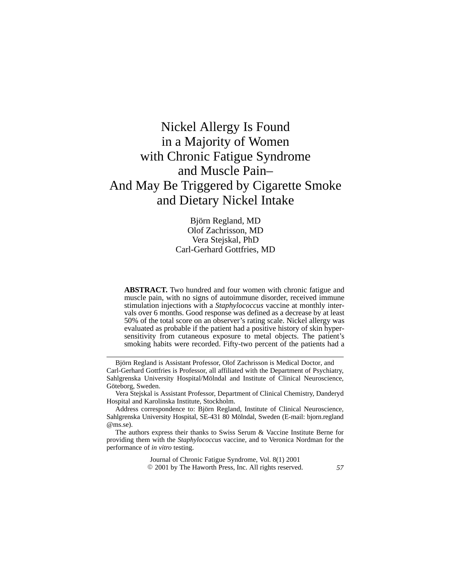# Nickel Allergy Is Found in a Majority of Women with Chronic Fatigue Syndrome and Muscle Pain– And May Be Triggered by Cigarette Smoke and Dietary Nickel Intake

Björn Regland, MD Olof Zachrisson, MD Vera Stejskal, PhD Carl-Gerhard Gottfries, MD

**ABSTRACT.** Two hundred and four women with chronic fatigue and muscle pain, with no signs of autoimmune disorder, received immune stimulation injections with a *Staphylococcus* vaccine at monthly intervals over 6 months. Good response was defined as a decrease by at least 50% of the total score on an observer's rating scale. Nickel allergy was evaluated as probable if the patient had a positive history of skin hypersensitivity from cutaneous exposure to metal objects. The patient's smoking habits were recorded. Fifty-two percent of the patients had a

Journal of Chronic Fatigue Syndrome, Vol. 8(1) 2001 2001 by The Haworth Press, Inc. All rights reserved. *57*

Björn Regland is Assistant Professor, Olof Zachrisson is Medical Doctor, and Carl-Gerhard Gottfries is Professor, all affiliated with the Department of Psychiatry, Sahlgrenska University Hospital/Mölndal and Institute of Clinical Neuroscience, Göteborg, Sweden.

Vera Stejskal is Assistant Professor, Department of Clinical Chemistry, Danderyd Hospital and Karolinska Institute, Stockholm.

Address correspondence to: Björn Regland, Institute of Clinical Neuroscience, Sahlgrenska University Hospital, SE-431 80 Mölndal, Sweden (E-mail: bjorn.regland @ms.se).

The authors express their thanks to Swiss Serum & Vaccine Institute Berne for providing them with the *Staphylococcus* vaccine, and to Veronica Nordman for the performance of *in vitro* testing.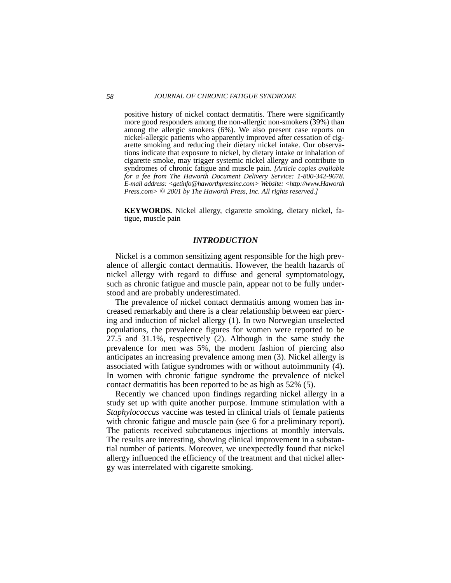positive history of nickel contact dermatitis. There were significantly more good responders among the non-allergic non-smokers (39%) than among the allergic smokers (6%). We also present case reports on nickel-allergic patients who apparently improved after cessation of cigarette smoking and reducing their dietary nickel intake. Our observations indicate that exposure to nickel, by dietary intake or inhalation of cigarette smoke, may trigger systemic nickel allergy and contribute to syndromes of chronic fatigue and muscle pain. *[Article copies available for a fee from The Haworth Document Delivery Service: 1-800-342-9678. E-mail address: <getinfo@haworthpressinc.com> Website: <http://www.Haworth Press.com>*  $\circ$  2001 by The Haworth Press, Inc. All rights reserved.]

**KEYWORDS.** Nickel allergy, cigarette smoking, dietary nickel, fatigue, muscle pain

#### *INTRODUCTION*

Nickel is a common sensitizing agent responsible for the high prevalence of allergic contact dermatitis. However, the health hazards of nickel allergy with regard to diffuse and general symptomatology, such as chronic fatigue and muscle pain, appear not to be fully understood and are probably underestimated.

The prevalence of nickel contact dermatitis among women has increased remarkably and there is a clear relationship between ear piercing and induction of nickel allergy (1). In two Norwegian unselected populations, the prevalence figures for women were reported to be 27.5 and 31.1%, respectively (2). Although in the same study the prevalence for men was 5%, the modern fashion of piercing also anticipates an increasing prevalence among men (3). Nickel allergy is associated with fatigue syndromes with or without autoimmunity (4). In women with chronic fatigue syndrome the prevalence of nickel contact dermatitis has been reported to be as high as 52% (5).

Recently we chanced upon findings regarding nickel allergy in a study set up with quite another purpose. Immune stimulation with a *Staphylococcus* vaccine was tested in clinical trials of female patients with chronic fatigue and muscle pain (see 6 for a preliminary report). The patients received subcutaneous injections at monthly intervals. The results are interesting, showing clinical improvement in a substantial number of patients. Moreover, we unexpectedly found that nickel allergy influenced the efficiency of the treatment and that nickel allergy was interrelated with cigarette smoking.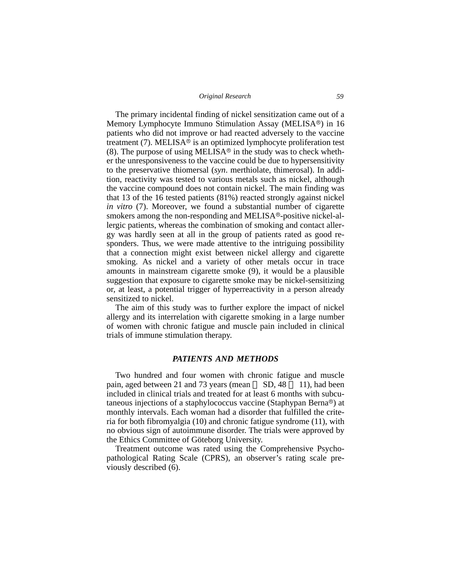#### *Original Research 59*

The primary incidental finding of nickel sensitization came out of a Memory Lymphocyte Immuno Stimulation Assay (MELISA®) in 16 patients who did not improve or had reacted adversely to the vaccine treatment (7). MELISA<sup> $\overset{\bullet}{\circ}$  is an optimized lymphocyte proliferation test</sup>  $(8)$ . The purpose of using MELISA® in the study was to check whether the unresponsiveness to the vaccine could be due to hypersensitivity to the preservative thiomersal (*syn*. merthiolate, thimerosal). In addition, reactivity was tested to various metals such as nickel, although the vaccine compound does not contain nickel. The main finding was that 13 of the 16 tested patients (81%) reacted strongly against nickel *in vitro* (7). Moreover, we found a substantial number of cigarette smokers among the non-responding and MELISA®-positive nickel-allergic patients, whereas the combination of smoking and contact allergy was hardly seen at all in the group of patients rated as good responders. Thus, we were made attentive to the intriguing possibility that a connection might exist between nickel allergy and cigarette smoking. As nickel and a variety of other metals occur in trace amounts in mainstream cigarette smoke (9), it would be a plausible suggestion that exposure to cigarette smoke may be nickel-sensitizing or, at least, a potential trigger of hyperreactivity in a person already sensitized to nickel.

The aim of this study was to further explore the impact of nickel allergy and its interrelation with cigarette smoking in a large number of women with chronic fatigue and muscle pain included in clinical trials of immune stimulation therapy.

## *PATIENTS AND METHODS*

Two hundred and four women with chronic fatigue and muscle pain, aged between 21 and 73 years (mean  $\Box$  SD, 48  $\Box$  11), had been included in clinical trials and treated for at least 6 months with subcutaneous injections of a staphylococcus vaccine (Staphypan Berna®) at monthly intervals. Each woman had a disorder that fulfilled the criteria for both fibromyalgia (10) and chronic fatigue syndrome (11), with no obvious sign of autoimmune disorder. The trials were approved by the Ethics Committee of Göteborg University.

Treatment outcome was rated using the Comprehensive Psychopathological Rating Scale (CPRS), an observer's rating scale previously described (6).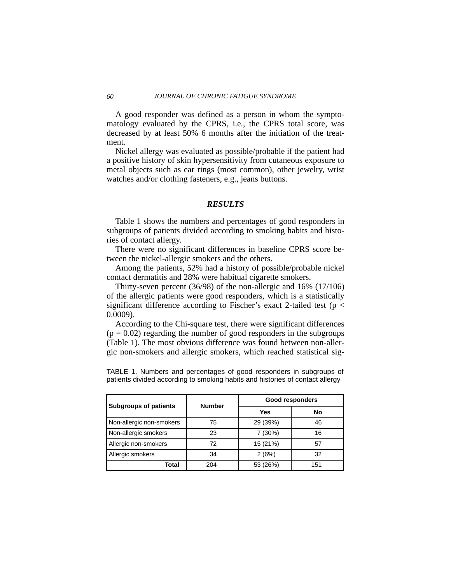A good responder was defined as a person in whom the symptomatology evaluated by the CPRS, i.e., the CPRS total score, was decreased by at least 50% 6 months after the initiation of the treatment.

Nickel allergy was evaluated as possible/probable if the patient had a positive history of skin hypersensitivity from cutaneous exposure to metal objects such as ear rings (most common), other jewelry, wrist watches and/or clothing fasteners, e.g., jeans buttons.

# *RESULTS*

Table 1 shows the numbers and percentages of good responders in subgroups of patients divided according to smoking habits and histories of contact allergy.

There were no significant differences in baseline CPRS score between the nickel-allergic smokers and the others.

Among the patients, 52% had a history of possible/probable nickel contact dermatitis and 28% were habitual cigarette smokers.

Thirty-seven percent (36/98) of the non-allergic and 16% (17/106) of the allergic patients were good responders, which is a statistically significant difference according to Fischer's exact 2-tailed test ( $p <$ 0.0009).

According to the Chi-square test, there were significant differences  $(p = 0.02)$  regarding the number of good responders in the subgroups (Table 1). The most obvious difference was found between non-allergic non-smokers and allergic smokers, which reached statistical sig-

TABLE 1. Numbers and percentages of good responders in subgroups of patients divided according to smoking habits and histories of contact allergy

| <b>Subgroups of patients</b> | <b>Number</b> | Good responders |     |
|------------------------------|---------------|-----------------|-----|
|                              |               | Yes             | No  |
| Non-allergic non-smokers     | 75            | 29 (39%)        | 46  |
| Non-allergic smokers         | 23            | 7(30%)          | 16  |
| Allergic non-smokers         | 72            | 15 (21%)        | 57  |
| Allergic smokers             | 34            | 2(6%)           | 32  |
| Total                        | 204           | 53 (26%)        | 151 |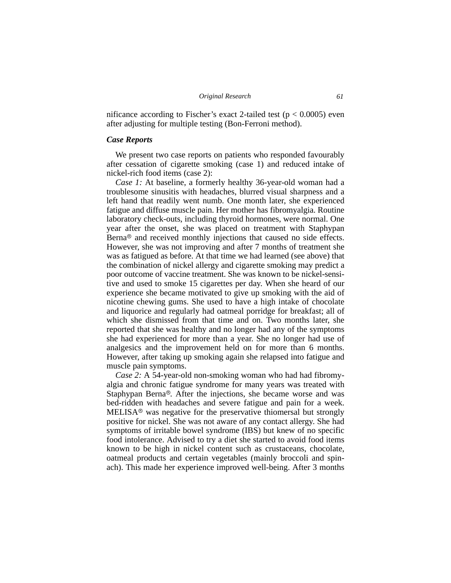nificance according to Fischer's exact 2-tailed test ( $p < 0.0005$ ) even after adjusting for multiple testing (Bon-Ferroni method).

## *Case Reports*

We present two case reports on patients who responded favourably after cessation of cigarette smoking (case 1) and reduced intake of nickel-rich food items (case 2):

*Case 1:* At baseline, a formerly healthy 36-year-old woman had a troublesome sinusitis with headaches, blurred visual sharpness and a left hand that readily went numb. One month later, she experienced fatigue and diffuse muscle pain. Her mother has fibromyalgia. Routine laboratory check-outs, including thyroid hormones, were normal. One year after the onset, she was placed on treatment with Staphypan  $\overline{B}$ erna<sup>®</sup> and received monthly injections that caused no side effects. However, she was not improving and after 7 months of treatment she was as fatigued as before. At that time we had learned (see above) that the combination of nickel allergy and cigarette smoking may predict a poor outcome of vaccine treatment. She was known to be nickel-sensitive and used to smoke 15 cigarettes per day. When she heard of our experience she became motivated to give up smoking with the aid of nicotine chewing gums. She used to have a high intake of chocolate and liquorice and regularly had oatmeal porridge for breakfast; all of which she dismissed from that time and on. Two months later, she reported that she was healthy and no longer had any of the symptoms she had experienced for more than a year. She no longer had use of analgesics and the improvement held on for more than 6 months. However, after taking up smoking again she relapsed into fatigue and muscle pain symptoms.

*Case 2:* A 54-year-old non-smoking woman who had had fibromyalgia and chronic fatigue syndrome for many years was treated with Staphypan Berna®. After the injections, she became worse and was bed-ridden with headaches and severe fatigue and pain for a week. MELISA® was negative for the preservative thiomersal but strongly positive for nickel. She was not aware of any contact allergy. She had symptoms of irritable bowel syndrome (IBS) but knew of no specific food intolerance. Advised to try a diet she started to avoid food items known to be high in nickel content such as crustaceans, chocolate, oatmeal products and certain vegetables (mainly broccoli and spinach). This made her experience improved well-being. After 3 months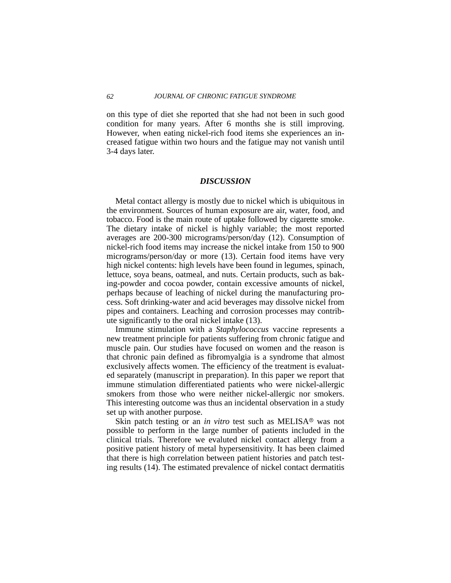#### *62 JOURNAL OF CHRONIC FATIGUE SYNDROME*

on this type of diet she reported that she had not been in such good condition for many years. After 6 months she is still improving. However, when eating nickel-rich food items she experiences an increased fatigue within two hours and the fatigue may not vanish until 3-4 days later.

# *DISCUSSION*

Metal contact allergy is mostly due to nickel which is ubiquitous in the environment. Sources of human exposure are air, water, food, and tobacco. Food is the main route of uptake followed by cigarette smoke. The dietary intake of nickel is highly variable; the most reported averages are 200-300 micrograms/person/day (12). Consumption of nickel-rich food items may increase the nickel intake from 150 to 900 micrograms/person/day or more (13). Certain food items have very high nickel contents: high levels have been found in legumes, spinach, lettuce, soya beans, oatmeal, and nuts. Certain products, such as baking-powder and cocoa powder, contain excessive amounts of nickel, perhaps because of leaching of nickel during the manufacturing process. Soft drinking-water and acid beverages may dissolve nickel from pipes and containers. Leaching and corrosion processes may contribute significantly to the oral nickel intake (13).

Immune stimulation with a *Staphylococcus* vaccine represents a new treatment principle for patients suffering from chronic fatigue and muscle pain. Our studies have focused on women and the reason is that chronic pain defined as fibromyalgia is a syndrome that almost exclusively affects women. The efficiency of the treatment is evaluated separately (manuscript in preparation). In this paper we report that immune stimulation differentiated patients who were nickel-allergic smokers from those who were neither nickel-allergic nor smokers. This interesting outcome was thus an incidental observation in a study set up with another purpose.

Skin patch testing or an *in vitro* test such as MELISA<sup>®</sup> was not possible to perform in the large number of patients included in the clinical trials. Therefore we evaluted nickel contact allergy from a positive patient history of metal hypersensitivity. It has been claimed that there is high correlation between patient histories and patch testing results (14). The estimated prevalence of nickel contact dermatitis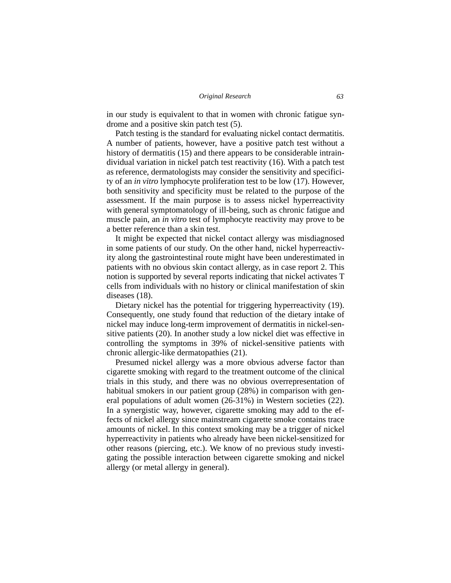in our study is equivalent to that in women with chronic fatigue syndrome and a positive skin patch test (5).

Patch testing is the standard for evaluating nickel contact dermatitis. A number of patients, however, have a positive patch test without a history of dermatitis (15) and there appears to be considerable intraindividual variation in nickel patch test reactivity (16). With a patch test as reference, dermatologists may consider the sensitivity and specificity of an *in vitro* lymphocyte proliferation test to be low (17). However, both sensitivity and specificity must be related to the purpose of the assessment. If the main purpose is to assess nickel hyperreactivity with general symptomatology of ill-being, such as chronic fatigue and muscle pain, an *in vitro* test of lymphocyte reactivity may prove to be a better reference than a skin test.

It might be expected that nickel contact allergy was misdiagnosed in some patients of our study. On the other hand, nickel hyperreactivity along the gastrointestinal route might have been underestimated in patients with no obvious skin contact allergy, as in case report 2. This notion is supported by several reports indicating that nickel activates T cells from individuals with no history or clinical manifestation of skin diseases (18).

Dietary nickel has the potential for triggering hyperreactivity (19). Consequently, one study found that reduction of the dietary intake of nickel may induce long-term improvement of dermatitis in nickel-sensitive patients (20). In another study a low nickel diet was effective in controlling the symptoms in 39% of nickel-sensitive patients with chronic allergic-like dermatopathies (21).

Presumed nickel allergy was a more obvious adverse factor than cigarette smoking with regard to the treatment outcome of the clinical trials in this study, and there was no obvious overrepresentation of habitual smokers in our patient group (28%) in comparison with general populations of adult women (26-31%) in Western societies (22). In a synergistic way, however, cigarette smoking may add to the effects of nickel allergy since mainstream cigarette smoke contains trace amounts of nickel. In this context smoking may be a trigger of nickel hyperreactivity in patients who already have been nickel-sensitized for other reasons (piercing, etc.). We know of no previous study investigating the possible interaction between cigarette smoking and nickel allergy (or metal allergy in general).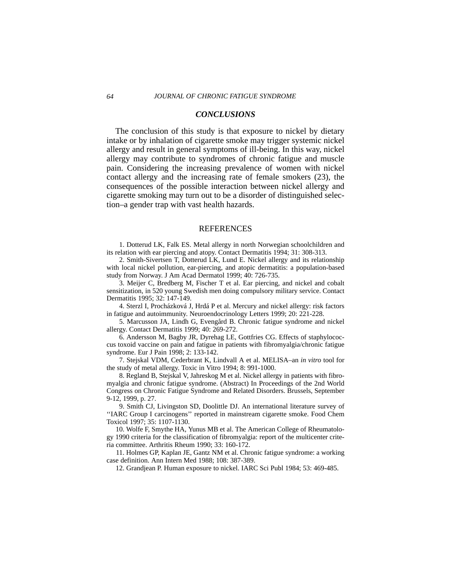# *CONCLUSIONS*

The conclusion of this study is that exposure to nickel by dietary intake or by inhalation of cigarette smoke may trigger systemic nickel allergy and result in general symptoms of ill-being. In this way, nickel allergy may contribute to syndromes of chronic fatigue and muscle pain. Considering the increasing prevalence of women with nickel contact allergy and the increasing rate of female smokers (23), the consequences of the possible interaction between nickel allergy and cigarette smoking may turn out to be a disorder of distinguished selection–a gender trap with vast health hazards.

#### REFERENCES

1. Dotterud LK, Falk ES. Metal allergy in north Norwegian schoolchildren and its relation with ear piercing and atopy. Contact Dermatitis 1994; 31: 308-313.

2. Smith-Sivertsen T, Dotterud LK, Lund E. Nickel allergy and its relationship with local nickel pollution, ear-piercing, and atopic dermatitis: a population-based study from Norway. J Am Acad Dermatol 1999; 40: 726-735.

3. Meijer C, Bredberg M, Fischer T et al. Ear piercing, and nickel and cobalt sensitization, in 520 young Swedish men doing compulsory military service. Contact Dermatitis 1995; 32: 147-149.

4. Sterzl I, Procházková J, Hrdá P et al. Mercury and nickel allergy: risk factors in fatigue and autoimmunity. Neuroendocrinology Letters 1999; 20: 221-228.

5. Marcusson JA, Lindh G, Evengård B. Chronic fatigue syndrome and nickel allergy. Contact Dermatitis 1999; 40: 269-272.

6. Andersson M, Bagby JR, Dyrehag LE, Gottfries CG. Effects of staphylococcus toxoid vaccine on pain and fatigue in patients with fibromyalgia/chronic fatigue syndrome. Eur J Pain 1998; 2: 133-142.

7. Stejskal VDM, Cederbrant K, Lindvall A et al. MELISA–an *in vitro* tool for the study of metal allergy. Toxic in Vitro 1994; 8: 991-1000.

8. Regland B, Stejskal V, Jahreskog M et al. Nickel allergy in patients with fibromyalgia and chronic fatigue syndrome. (Abstract) In Proceedings of the 2nd World Congress on Chronic Fatigue Syndrome and Related Disorders. Brussels, September 9-12, 1999, p. 27.

9. Smith CJ, Livingston SD, Doolittle DJ. An international literature survey of ''IARC Group I carcinogens'' reported in mainstream cigarette smoke. Food Chem Toxicol 1997; 35: 1107-1130.

10. Wolfe F, Smythe HA, Yunus MB et al. The American College of Rheumatology 1990 criteria for the classification of fibromyalgia: report of the multicenter criteria committee. Arthritis Rheum 1990; 33: 160-172.

11. Holmes GP, Kaplan JE, Gantz NM et al. Chronic fatigue syndrome: a working case definition. Ann Intern Med 1988; 108: 387-389.

12. Grandjean P. Human exposure to nickel. IARC Sci Publ 1984; 53: 469-485.